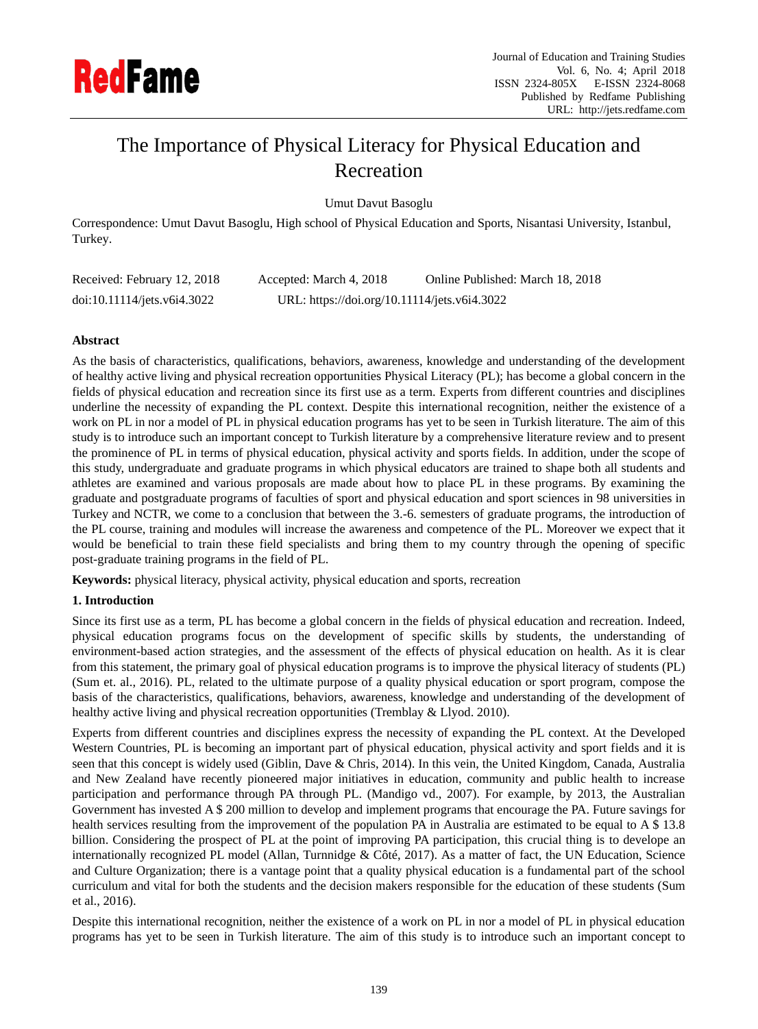

# The Importance of Physical Literacy for Physical Education and Recreation

Umut Davut Basoglu

Correspondence: Umut Davut Basoglu, High school of Physical Education and Sports, Nisantasi University, Istanbul, Turkey.

| Received: February 12, 2018 | Accepted: March 4, 2018                      | Online Published: March 18, 2018 |
|-----------------------------|----------------------------------------------|----------------------------------|
| doi:10.11114/jets.v6i4.3022 | URL: https://doi.org/10.11114/jets.v6i4.3022 |                                  |

# **Abstract**

As the basis of characteristics, qualifications, behaviors, awareness, knowledge and understanding of the development of healthy active living and physical recreation opportunities Physical Literacy (PL); has become a global concern in the fields of physical education and recreation since its first use as a term. Experts from different countries and disciplines underline the necessity of expanding the PL context. Despite this international recognition, neither the existence of a work on PL in nor a model of PL in physical education programs has yet to be seen in Turkish literature. The aim of this study is to introduce such an important concept to Turkish literature by a comprehensive literature review and to present the prominence of PL in terms of physical education, physical activity and sports fields. In addition, under the scope of this study, undergraduate and graduate programs in which physical educators are trained to shape both all students and athletes are examined and various proposals are made about how to place PL in these programs. By examining the graduate and postgraduate programs of faculties of sport and physical education and sport sciences in 98 universities in Turkey and NCTR, we come to a conclusion that between the 3.-6. semesters of graduate programs, the introduction of the PL course, training and modules will increase the awareness and competence of the PL. Moreover we expect that it would be beneficial to train these field specialists and bring them to my country through the opening of specific post-graduate training programs in the field of PL.

**Keywords:** physical literacy, physical activity, physical education and sports, recreation

## **1. Introduction**

Since its first use as a term, PL has become a global concern in the fields of physical education and recreation. Indeed, physical education programs focus on the development of specific skills by students, the understanding of environment-based action strategies, and the assessment of the effects of physical education on health. As it is clear from this statement, the primary goal of physical education programs is to improve the physical literacy of students (PL) (Sum et. al., 2016). PL, related to the ultimate purpose of a quality physical education or sport program, compose the basis of the characteristics, qualifications, behaviors, awareness, knowledge and understanding of the development of healthy active living and physical recreation opportunities (Tremblay & Llyod. 2010).

Experts from different countries and disciplines express the necessity of expanding the PL context. At the Developed Western Countries, PL is becoming an important part of physical education, physical activity and sport fields and it is seen that this concept is widely used (Giblin, Dave & Chris, 2014). In this vein, the United Kingdom, Canada, Australia and New Zealand have recently pioneered major initiatives in education, community and public health to increase participation and performance through PA through PL. (Mandigo vd., 2007). For example, by 2013, the Australian Government has invested A \$ 200 million to develop and implement programs that encourage the PA. Future savings for health services resulting from the improvement of the population PA in Australia are estimated to be equal to A \$ 13.8 billion. Considering the prospect of PL at the point of improving PA participation, this crucial thing is to develope an internationally recognized PL model (Allan, Turnnidge & C $\hat{\alpha}$ ,  $\hat{\alpha}$ ,  $\hat{\alpha}$ ) As a matter of fact, the UN Education, Science and Culture Organization; there is a vantage point that a quality physical education is a fundamental part of the school curriculum and vital for both the students and the decision makers responsible for the education of these students (Sum et al., 2016).

Despite this international recognition, neither the existence of a work on PL in nor a model of PL in physical education programs has yet to be seen in Turkish literature. The aim of this study is to introduce such an important concept to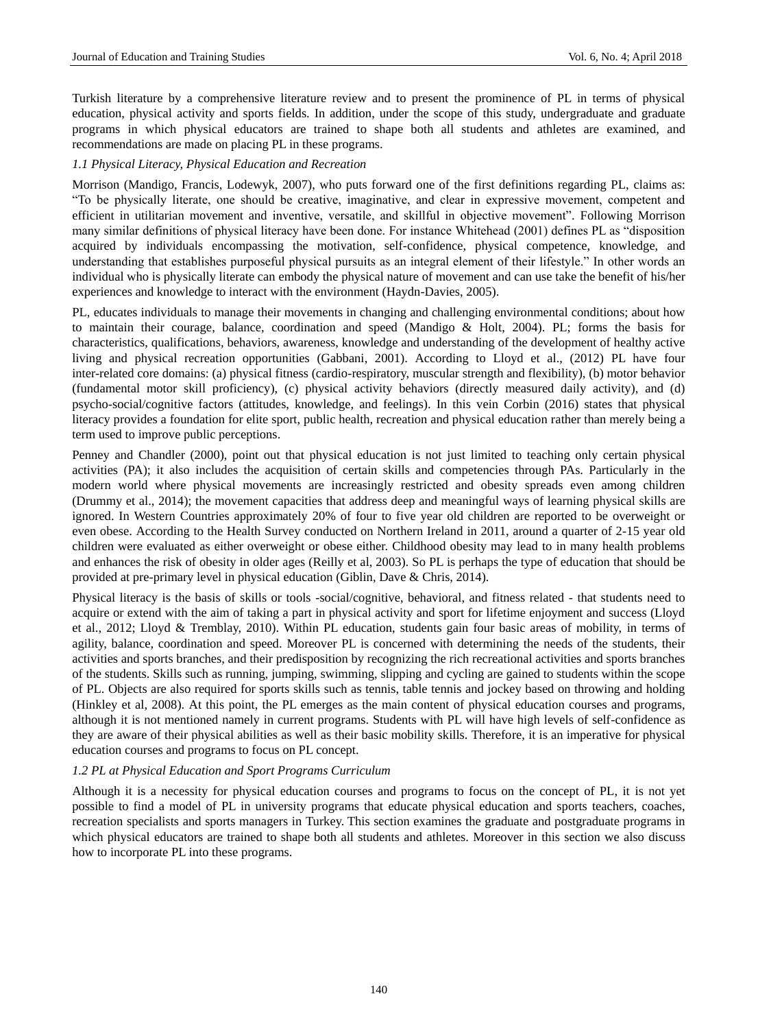Turkish literature by a comprehensive literature review and to present the prominence of PL in terms of physical education, physical activity and sports fields. In addition, under the scope of this study, undergraduate and graduate programs in which physical educators are trained to shape both all students and athletes are examined, and recommendations are made on placing PL in these programs.

## *1.1 Physical Literacy, Physical Education and Recreation*

Morrison (Mandigo, Francis, Lodewyk, 2007), who puts forward one of the first definitions regarding PL, claims as: "To be physically literate, one should be creative, imaginative, and clear in expressive movement, competent and efficient in utilitarian movement and inventive, versatile, and skillful in objective movement". Following Morrison many similar definitions of physical literacy have been done. For instance Whitehead (2001) defines PL as "disposition acquired by individuals encompassing the motivation, self-confidence, physical competence, knowledge, and understanding that establishes purposeful physical pursuits as an integral element of their lifestyle." In other words an individual who is physically literate can embody the physical nature of movement and can use take the benefit of his/her experiences and knowledge to interact with the environment (Haydn-Davies, 2005).

PL, educates individuals to manage their movements in changing and challenging environmental conditions; about how to maintain their courage, balance, coordination and speed (Mandigo & Holt, 2004). PL; forms the basis for characteristics, qualifications, behaviors, awareness, knowledge and understanding of the development of healthy active living and physical recreation opportunities (Gabbani, 2001). According to Lloyd et al., (2012) PL have four inter-related core domains: (a) physical fitness (cardio-respiratory, muscular strength and flexibility), (b) motor behavior (fundamental motor skill proficiency), (c) physical activity behaviors (directly measured daily activity), and (d) psycho-social/cognitive factors (attitudes, knowledge, and feelings). In this vein Corbin (2016) states that physical literacy provides a foundation for elite sport, public health, recreation and physical education rather than merely being a term used to improve public perceptions.

Penney and Chandler (2000), point out that physical education is not just limited to teaching only certain physical activities (PA); it also includes the acquisition of certain skills and competencies through PAs. Particularly in the modern world where physical movements are increasingly restricted and obesity spreads even among children (Drummy et al., 2014); the movement capacities that address deep and meaningful ways of learning physical skills are ignored. In Western Countries approximately 20% of four to five year old children are reported to be overweight or even obese. According to the Health Survey conducted on Northern Ireland in 2011, around a quarter of 2-15 year old children were evaluated as either overweight or obese either. Childhood obesity may lead to in many health problems and enhances the risk of obesity in older ages (Reilly et al, 2003). So PL is perhaps the type of education that should be provided at pre-primary level in physical education (Giblin, Dave & Chris, 2014).

Physical literacy is the basis of skills or tools -social/cognitive, behavioral, and fitness related - that students need to acquire or extend with the aim of taking a part in physical activity and sport for lifetime enjoyment and success (Lloyd et al., 2012; Lloyd & Tremblay, 2010). Within PL education, students gain four basic areas of mobility, in terms of agility, balance, coordination and speed. Moreover PL is concerned with determining the needs of the students, their activities and sports branches, and their predisposition by recognizing the rich recreational activities and sports branches of the students. Skills such as running, jumping, swimming, slipping and cycling are gained to students within the scope of PL. Objects are also required for sports skills such as tennis, table tennis and jockey based on throwing and holding (Hinkley et al, 2008). At this point, the PL emerges as the main content of physical education courses and programs, although it is not mentioned namely in current programs. Students with PL will have high levels of self-confidence as they are aware of their physical abilities as well as their basic mobility skills. Therefore, it is an imperative for physical education courses and programs to focus on PL concept.

#### *1.2 PL at Physical Education and Sport Programs Curriculum*

Although it is a necessity for physical education courses and programs to focus on the concept of PL, it is not yet possible to find a model of PL in university programs that educate physical education and sports teachers, coaches, recreation specialists and sports managers in Turkey. This section examines the graduate and postgraduate programs in which physical educators are trained to shape both all students and athletes. Moreover in this section we also discuss how to incorporate PL into these programs.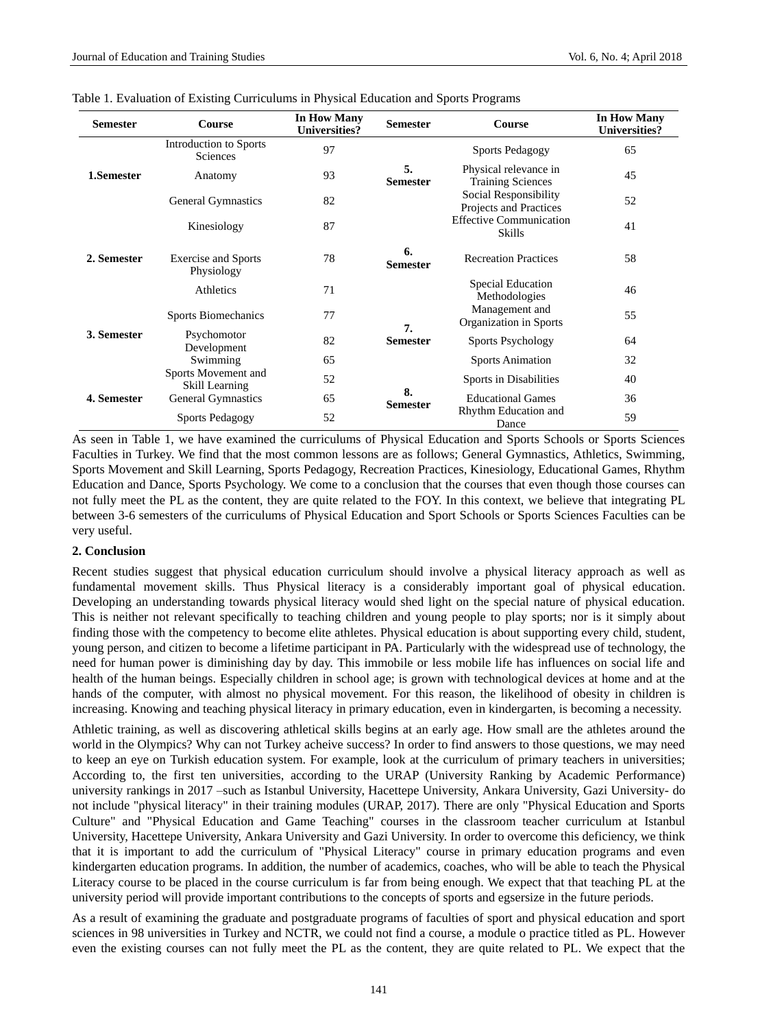| <b>Semester</b> | <b>Course</b>                                                                  | In How Many<br><b>Universities?</b> | <b>Semester</b>          | Course                                            | <b>In How Many</b><br><b>Universities?</b> |
|-----------------|--------------------------------------------------------------------------------|-------------------------------------|--------------------------|---------------------------------------------------|--------------------------------------------|
| 1.Semester      | Introduction to Sports<br><b>Sciences</b>                                      | 97                                  |                          | <b>Sports Pedagogy</b>                            | 65                                         |
|                 | Anatomy                                                                        | 93                                  | 5.<br><b>Semester</b>    | Physical relevance in<br><b>Training Sciences</b> | 45                                         |
|                 | <b>General Gymnastics</b>                                                      | 82                                  |                          | Social Responsibility<br>Projects and Practices   | 52                                         |
| 2. Semester     | Kinesiology                                                                    | 87                                  |                          | <b>Effective Communication</b><br><b>Skills</b>   | 41                                         |
|                 | <b>Exercise and Sports</b><br>Physiology                                       | 78                                  | 6.<br><b>Semester</b>    | <b>Recreation Practices</b>                       | 58                                         |
|                 | Athletics                                                                      | 71                                  |                          | Special Education<br>Methodologies                | 46                                         |
| 3. Semester     | Sports Biomechanics                                                            | 77                                  |                          | Management and<br>Organization in Sports          | 55                                         |
|                 | Psychomotor<br>82<br>Development                                               | 7.<br><b>Semester</b>               | <b>Sports Psychology</b> | 64                                                |                                            |
|                 | Swimming                                                                       | 65                                  |                          | <b>Sports Animation</b>                           | 32                                         |
| 4. Semester     | Sports Movement and<br>52<br>Skill Learning<br><b>General Gymnastics</b><br>65 |                                     | 8.<br><b>Semester</b>    | Sports in Disabilities                            | 40                                         |
|                 |                                                                                |                                     |                          | <b>Educational Games</b>                          | 36                                         |
|                 | <b>Sports Pedagogy</b>                                                         | 52                                  |                          | Rhythm Education and<br>Dance                     | 59                                         |

|  |  |  | Table 1. Evaluation of Existing Curriculums in Physical Education and Sports Programs |  |  |  |  |
|--|--|--|---------------------------------------------------------------------------------------|--|--|--|--|
|--|--|--|---------------------------------------------------------------------------------------|--|--|--|--|

As seen in Table 1, we have examined the curriculums of Physical Education and Sports Schools or Sports Sciences Faculties in Turkey. We find that the most common lessons are as follows; General Gymnastics, Athletics, Swimming, Sports Movement and Skill Learning, Sports Pedagogy, Recreation Practices, Kinesiology, Educational Games, Rhythm Education and Dance, Sports Psychology. We come to a conclusion that the courses that even though those courses can not fully meet the PL as the content, they are quite related to the FOY. In this context, we believe that integrating PL between 3-6 semesters of the curriculums of Physical Education and Sport Schools or Sports Sciences Faculties can be very useful.

#### **2. Conclusion**

Recent studies suggest that physical education curriculum should involve a physical literacy approach as well as fundamental movement skills. Thus Physical literacy is a considerably important goal of physical education. Developing an understanding towards physical literacy would shed light on the special nature of physical education. This is neither not relevant specifically to teaching children and young people to play sports; nor is it simply about finding those with the competency to become elite athletes. Physical education is about supporting every child, student, young person, and citizen to become a lifetime participant in PA. Particularly with the widespread use of technology, the need for human power is diminishing day by day. This immobile or less mobile life has influences on social life and health of the human beings. Especially children in school age; is grown with technological devices at home and at the hands of the computer, with almost no physical movement. For this reason, the likelihood of obesity in children is increasing. Knowing and teaching physical literacy in primary education, even in kindergarten, is becoming a necessity.

Athletic training, as well as discovering athletical skills begins at an early age. How small are the athletes around the world in the Olympics? Why can not Turkey acheive success? In order to find answers to those questions, we may need to keep an eye on Turkish education system. For example, look at the curriculum of primary teachers in universities; According to, the first ten universities, according to the URAP (University Ranking by Academic Performance) university rankings in 2017 –such as Istanbul University, Hacettepe University, Ankara University, Gazi University- do not include "physical literacy" in their training modules (URAP, 2017). There are only "Physical Education and Sports Culture" and "Physical Education and Game Teaching" courses in the classroom teacher curriculum at Istanbul University, Hacettepe University, Ankara University and Gazi University. In order to overcome this deficiency, we think that it is important to add the curriculum of "Physical Literacy" course in primary education programs and even kindergarten education programs. In addition, the number of academics, coaches, who will be able to teach the Physical Literacy course to be placed in the course curriculum is far from being enough. We expect that that teaching PL at the university period will provide important contributions to the concepts of sports and egsersize in the future periods.

As a result of examining the graduate and postgraduate programs of faculties of sport and physical education and sport sciences in 98 universities in Turkey and NCTR, we could not find a course, a module o practice titled as PL. However even the existing courses can not fully meet the PL as the content, they are quite related to PL. We expect that the